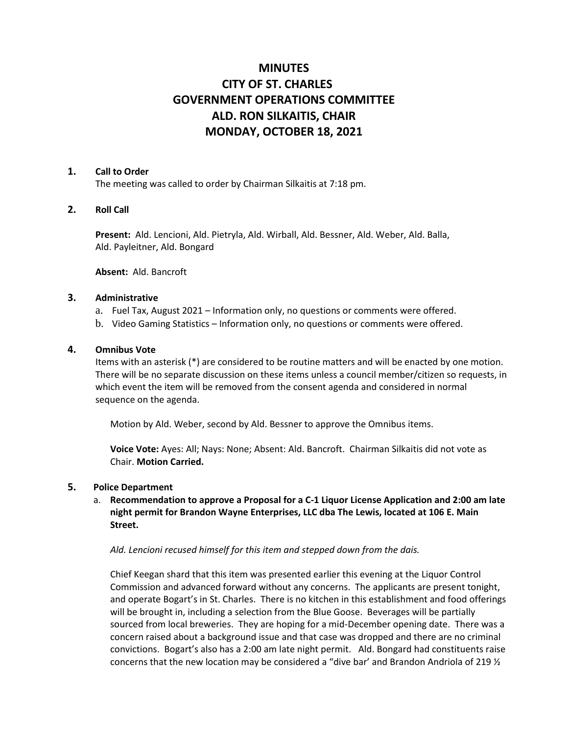# **MINUTES CITY OF ST. CHARLES GOVERNMENT OPERATIONS COMMITTEE ALD. RON SILKAITIS, CHAIR MONDAY, OCTOBER 18, 2021**

#### **1. Call to Order**

The meeting was called to order by Chairman Silkaitis at 7:18 pm.

#### **2. Roll Call**

**Present:** Ald. Lencioni, Ald. Pietryla, Ald. Wirball, Ald. Bessner, Ald. Weber, Ald. Balla, Ald. Payleitner, Ald. Bongard

**Absent:** Ald. Bancroft

#### **3. Administrative**

- a. Fuel Tax, August 2021 Information only, no questions or comments were offered.
- b. Video Gaming Statistics Information only, no questions or comments were offered.

#### **4. Omnibus Vote**

Items with an asterisk (\*) are considered to be routine matters and will be enacted by one motion. There will be no separate discussion on these items unless a council member/citizen so requests, in which event the item will be removed from the consent agenda and considered in normal sequence on the agenda.

Motion by Ald. Weber, second by Ald. Bessner to approve the Omnibus items.

**Voice Vote:** Ayes: All; Nays: None; Absent: Ald. Bancroft. Chairman Silkaitis did not vote as Chair. **Motion Carried.** 

#### **5. Police Department**

## a. **Recommendation to approve a Proposal for a C-1 Liquor License Application and 2:00 am late night permit for Brandon Wayne Enterprises, LLC dba The Lewis, located at 106 E. Main Street.**

*Ald. Lencioni recused himself for this item and stepped down from the dais.*

Chief Keegan shard that this item was presented earlier this evening at the Liquor Control Commission and advanced forward without any concerns. The applicants are present tonight, and operate Bogart's in St. Charles. There is no kitchen in this establishment and food offerings will be brought in, including a selection from the Blue Goose. Beverages will be partially sourced from local breweries. They are hoping for a mid-December opening date. There was a concern raised about a background issue and that case was dropped and there are no criminal convictions. Bogart's also has a 2:00 am late night permit. Ald. Bongard had constituents raise concerns that the new location may be considered a "dive bar' and Brandon Andriola of 219 ½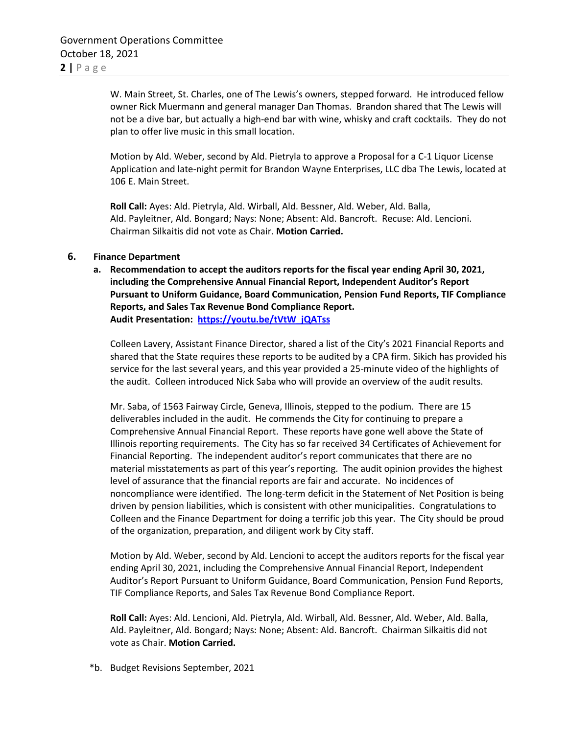W. Main Street, St. Charles, one of The Lewis's owners, stepped forward. He introduced fellow owner Rick Muermann and general manager Dan Thomas. Brandon shared that The Lewis will not be a dive bar, but actually a high-end bar with wine, whisky and craft cocktails. They do not plan to offer live music in this small location.

Motion by Ald. Weber, second by Ald. Pietryla to approve a Proposal for a C-1 Liquor License Application and late-night permit for Brandon Wayne Enterprises, LLC dba The Lewis, located at 106 E. Main Street.

**Roll Call:** Ayes: Ald. Pietryla, Ald. Wirball, Ald. Bessner, Ald. Weber, Ald. Balla, Ald. Payleitner, Ald. Bongard; Nays: None; Absent: Ald. Bancroft. Recuse: Ald. Lencioni. Chairman Silkaitis did not vote as Chair. **Motion Carried.** 

#### **6. Finance Department**

**a. Recommendation to accept the auditors reports for the fiscal year ending April 30, 2021, including the Comprehensive Annual Financial Report, Independent Auditor's Report Pursuant to Uniform Guidance, Board Communication, Pension Fund Reports, TIF Compliance Reports, and Sales Tax Revenue Bond Compliance Report. Audit Presentation: [https://youtu.be/tVtW\\_jQATss](https://youtu.be/tVtW_jQATss)**

Colleen Lavery, Assistant Finance Director, shared a list of the City's 2021 Financial Reports and shared that the State requires these reports to be audited by a CPA firm. Sikich has provided his service for the last several years, and this year provided a 25-minute video of the highlights of the audit. Colleen introduced Nick Saba who will provide an overview of the audit results.

Mr. Saba, of 1563 Fairway Circle, Geneva, Illinois, stepped to the podium. There are 15 deliverables included in the audit. He commends the City for continuing to prepare a Comprehensive Annual Financial Report. These reports have gone well above the State of Illinois reporting requirements. The City has so far received 34 Certificates of Achievement for Financial Reporting. The independent auditor's report communicates that there are no material misstatements as part of this year's reporting. The audit opinion provides the highest level of assurance that the financial reports are fair and accurate. No incidences of noncompliance were identified. The long-term deficit in the Statement of Net Position is being driven by pension liabilities, which is consistent with other municipalities. Congratulations to Colleen and the Finance Department for doing a terrific job this year. The City should be proud of the organization, preparation, and diligent work by City staff.

Motion by Ald. Weber, second by Ald. Lencioni to accept the auditors reports for the fiscal year ending April 30, 2021, including the Comprehensive Annual Financial Report, Independent Auditor's Report Pursuant to Uniform Guidance, Board Communication, Pension Fund Reports, TIF Compliance Reports, and Sales Tax Revenue Bond Compliance Report.

**Roll Call:** Ayes: Ald. Lencioni, Ald. Pietryla, Ald. Wirball, Ald. Bessner, Ald. Weber, Ald. Balla, Ald. Payleitner, Ald. Bongard; Nays: None; Absent: Ald. Bancroft. Chairman Silkaitis did not vote as Chair. **Motion Carried.** 

\*b. Budget Revisions September, 2021